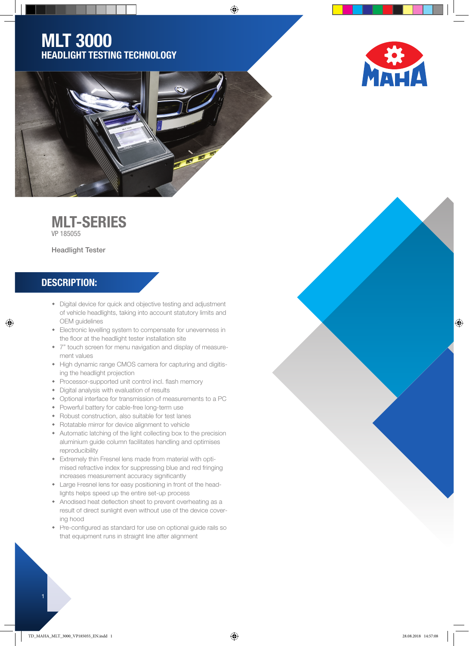## MLT 3000 HEADLIGHT TESTING TECHNOLOGY





⊕

## MLT-SERIES

VP 185055

Headlight Tester

## DESCRIPTION:

◈

- Digital device for quick and objective testing and adjustment of vehicle headlights, taking into account statutory limits and OEM guidelines
- Electronic levelling system to compensate for unevenness in the floor at the headlight tester installation site
- 7" touch screen for menu navigation and display of measurement values
- High dynamic range CMOS camera for capturing and digitising the headlight projection
- Processor-supported unit control incl. flash memory
- Digital analysis with evaluation of results
- Optional interface for transmission of measurements to a PC
- Powerful battery for cable-free long-term use
- Robust construction, also suitable for test lanes
- Rotatable mirror for device alignment to vehicle
- Automatic latching of the light collecting box to the precision aluminium guide column facilitates handling and optimises reproducibility
- Extremely thin Fresnel lens made from material with optimised refractive index for suppressing blue and red fringing increases measurement accuracy significantly
- Large Fresnel lens for easy positioning in front of the headlights helps speed up the entire set-up process
- Anodised heat deflection sheet to prevent overheating as a result of direct sunlight even without use of the device covering hood
- Pre-configured as standard for use on optional quide rails so that equipment runs in straight line after alignment

 $\bigoplus$